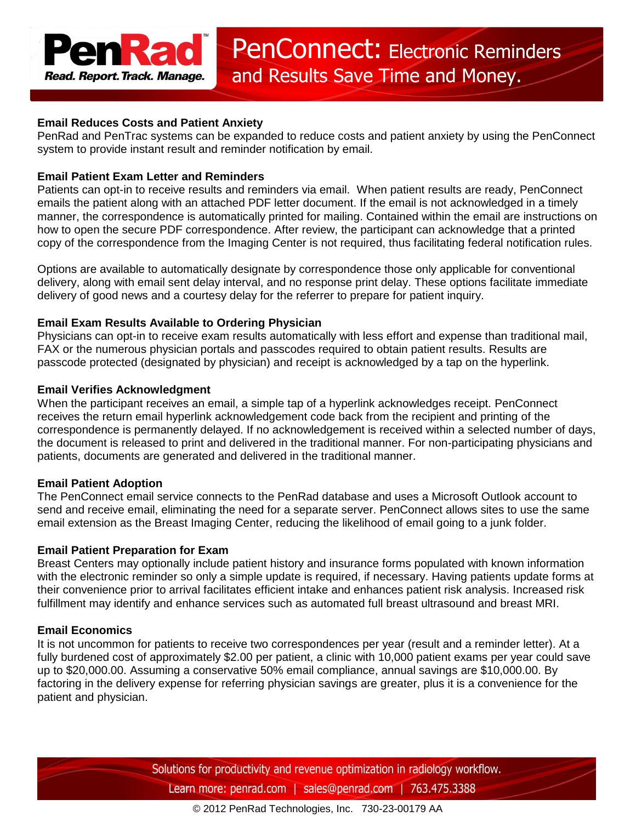# **Email Reduces Costs and Patient Anxiety**

PenRad and PenTrac systems can be expanded to reduce costs and patient anxiety by using the PenConnect system to provide instant result and reminder notification by email.

# **Email Patient Exam Letter and Reminders**

Patients can opt-in to receive results and reminders via email. When patient results are ready, PenConnect emails the patient along with an attached PDF letter document. If the email is not acknowledged in a timely manner, the correspondence is automatically printed for mailing. Contained within the email are instructions on how to open the secure PDF correspondence. After review, the participant can acknowledge that a printed copy of the correspondence from the Imaging Center is not required, thus facilitating federal notification rules.

Options are available to automatically designate by correspondence those only applicable for conventional delivery, along with email sent delay interval, and no response print delay. These options facilitate immediate delivery of good news and a courtesy delay for the referrer to prepare for patient inquiry.

# **Email Exam Results Available to Ordering Physician**

Physicians can opt-in to receive exam results automatically with less effort and expense than traditional mail, FAX or the numerous physician portals and passcodes required to obtain patient results. Results are passcode protected (designated by physician) and receipt is acknowledged by a tap on the hyperlink.

## **Email Verifies Acknowledgment**

When the participant receives an email, a simple tap of a hyperlink acknowledges receipt. PenConnect receives the return email hyperlink acknowledgement code back from the recipient and printing of the correspondence is permanently delayed. If no acknowledgement is received within a selected number of days, the document is released to print and delivered in the traditional manner. For non-participating physicians and patients, documents are generated and delivered in the traditional manner.

## **Email Patient Adoption**

The PenConnect email service connects to the PenRad database and uses a Microsoft Outlook account to send and receive email, eliminating the need for a separate server. PenConnect allows sites to use the same email extension as the Breast Imaging Center, reducing the likelihood of email going to a junk folder.

## **Email Patient Preparation for Exam**

Breast Centers may optionally include patient history and insurance forms populated with known information with the electronic reminder so only a simple update is required, if necessary. Having patients update forms at their convenience prior to arrival facilitates efficient intake and enhances patient risk analysis. Increased risk fulfillment may identify and enhance services such as automated full breast ultrasound and breast MRI.

## **Email Economics**

It is not uncommon for patients to receive two correspondences per year (result and a reminder letter). At a fully burdened cost of approximately \$2.00 per patient, a clinic with 10,000 patient exams per year could save up to \$20,000.00. Assuming a conservative 50% email compliance, annual savings are \$10,000.00. By factoring in the delivery expense for referring physician savings are greater, plus it is a convenience for the patient and physician.

> Solutions for productivity and revenue optimization in radiology workflow. Learn more: penrad.com | sales@penrad.com | 763.475.3388